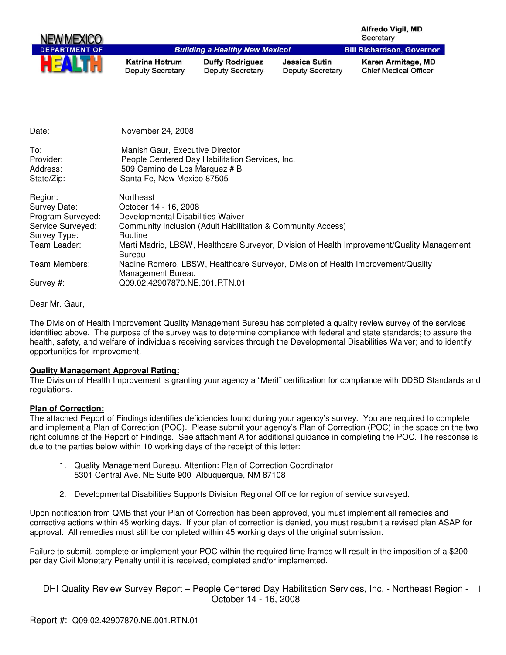| <b>NEW MEXICO</b>    |                                                  |                                                   |                                                 | <b>Alfredo Vigil, MD</b><br>Secretary              |
|----------------------|--------------------------------------------------|---------------------------------------------------|-------------------------------------------------|----------------------------------------------------|
| <b>DEPARTMENT OF</b> |                                                  | <b>Building a Healthy New Mexico!</b>             |                                                 | <b>Bill Richardson, Governor</b>                   |
|                      | <b>Katrina Hotrum</b><br><b>Deputy Secretary</b> | <b>Duffy Rodriguez</b><br><b>Deputy Secretary</b> | <b>Jessica Sutin</b><br><b>Deputy Secretary</b> | Karen Armitage, MD<br><b>Chief Medical Officer</b> |

| Date:                                                                                             | November 24, 2008                                                                                                                                                                                                                                         |
|---------------------------------------------------------------------------------------------------|-----------------------------------------------------------------------------------------------------------------------------------------------------------------------------------------------------------------------------------------------------------|
| To:<br>Provider:<br>Address:<br>State/Zip:                                                        | Manish Gaur, Executive Director<br>People Centered Day Habilitation Services, Inc.<br>509 Camino de Los Marquez # B<br>Santa Fe, New Mexico 87505                                                                                                         |
| Region:<br>Survey Date:<br>Program Surveyed:<br>Service Surveyed:<br>Survey Type:<br>Team Leader: | Northeast<br>October 14 - 16, 2008<br>Developmental Disabilities Waiver<br>Community Inclusion (Adult Habilitation & Community Access)<br>Routine<br>Marti Madrid, LBSW, Healthcare Surveyor, Division of Health Improvement/Quality Management<br>Bureau |
| Team Members:<br>Survey #:                                                                        | Nadine Romero, LBSW, Healthcare Surveyor, Division of Health Improvement/Quality<br>Management Bureau<br>Q09.02.42907870.NE.001.RTN.01                                                                                                                    |

Dear Mr. Gaur,

The Division of Health Improvement Quality Management Bureau has completed a quality review survey of the services identified above. The purpose of the survey was to determine compliance with federal and state standards; to assure the health, safety, and welfare of individuals receiving services through the Developmental Disabilities Waiver; and to identify opportunities for improvement.

## **Quality Management Approval Rating:**

The Division of Health Improvement is granting your agency a "Merit" certification for compliance with DDSD Standards and regulations.

## **Plan of Correction:**

The attached Report of Findings identifies deficiencies found during your agency's survey. You are required to complete and implement a Plan of Correction (POC). Please submit your agency's Plan of Correction (POC) in the space on the two right columns of the Report of Findings. See attachment A for additional guidance in completing the POC. The response is due to the parties below within 10 working days of the receipt of this letter:

- 1. Quality Management Bureau, Attention: Plan of Correction Coordinator 5301 Central Ave. NE Suite 900 Albuquerque, NM 87108
- 2. Developmental Disabilities Supports Division Regional Office for region of service surveyed.

Upon notification from QMB that your Plan of Correction has been approved, you must implement all remedies and corrective actions within 45 working days. If your plan of correction is denied, you must resubmit a revised plan ASAP for approval. All remedies must still be completed within 45 working days of the original submission.

Failure to submit, complete or implement your POC within the required time frames will result in the imposition of a \$200 per day Civil Monetary Penalty until it is received, completed and/or implemented.

DHI Quality Review Survey Report - People Centered Day Habilitation Services, Inc. - Northeast Region - 1 October 14 - 16, 2008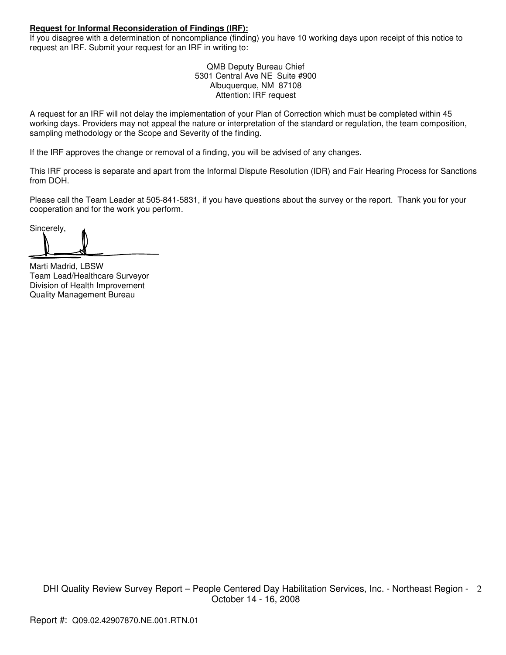## **Request for Informal Reconsideration of Findings (IRF):**

If you disagree with a determination of noncompliance (finding) you have 10 working days upon receipt of this notice to request an IRF. Submit your request for an IRF in writing to:

> QMB Deputy Bureau Chief 5301 Central Ave NE Suite #900 Albuquerque, NM 87108 Attention: IRF request

A request for an IRF will not delay the implementation of your Plan of Correction which must be completed within 45 working days. Providers may not appeal the nature or interpretation of the standard or regulation, the team composition, sampling methodology or the Scope and Severity of the finding.

If the IRF approves the change or removal of a finding, you will be advised of any changes.

This IRF process is separate and apart from the Informal Dispute Resolution (IDR) and Fair Hearing Process for Sanctions from DOH.

Please call the Team Leader at 505-841-5831, if you have questions about the survey or the report. Thank you for your cooperation and for the work you perform.

Sincerely,

Marti Madrid, LBSW Team Lead/Healthcare Surveyor Division of Health Improvement Quality Management Bureau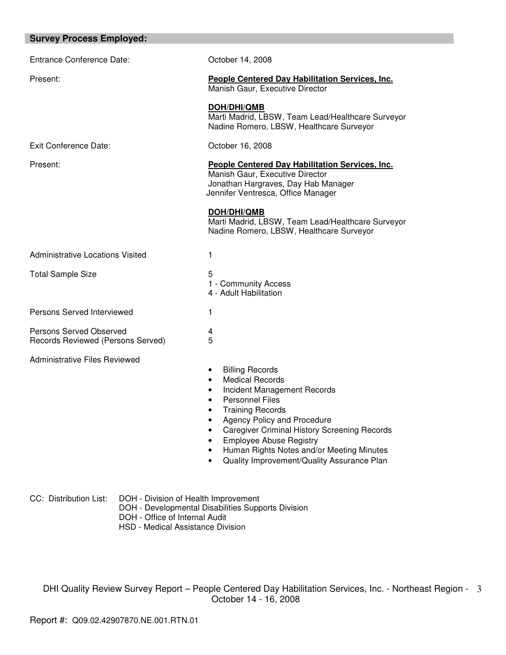| October 14, 2008                                                                                                                                                                                                                                                                                                                                                                                                      |
|-----------------------------------------------------------------------------------------------------------------------------------------------------------------------------------------------------------------------------------------------------------------------------------------------------------------------------------------------------------------------------------------------------------------------|
| <b>People Centered Day Habilitation Services, Inc.</b><br>Manish Gaur, Executive Director                                                                                                                                                                                                                                                                                                                             |
| DOH/DHI/QMB<br>Marti Madrid, LBSW, Team Lead/Healthcare Surveyor<br>Nadine Romero, LBSW, Healthcare Surveyor                                                                                                                                                                                                                                                                                                          |
| October 16, 2008                                                                                                                                                                                                                                                                                                                                                                                                      |
| <b>People Centered Day Habilitation Services, Inc.</b><br>Manish Gaur, Executive Director<br>Jonathan Hargraves, Day Hab Manager<br>Jennifer Ventresca, Office Manager                                                                                                                                                                                                                                                |
| <b>DOH/DHI/QMB</b><br>Marti Madrid, LBSW, Team Lead/Healthcare Surveyor<br>Nadine Romero, LBSW, Healthcare Surveyor                                                                                                                                                                                                                                                                                                   |
| 1                                                                                                                                                                                                                                                                                                                                                                                                                     |
| 5<br>1 - Community Access<br>4 - Adult Habilitation                                                                                                                                                                                                                                                                                                                                                                   |
| 1                                                                                                                                                                                                                                                                                                                                                                                                                     |
| 4<br>5                                                                                                                                                                                                                                                                                                                                                                                                                |
| <b>Billing Records</b><br>٠<br><b>Medical Records</b><br>$\bullet$<br>Incident Management Records<br>$\bullet$<br><b>Personnel Files</b><br>$\bullet$<br><b>Training Records</b><br>Agency Policy and Procedure<br><b>Caregiver Criminal History Screening Records</b><br>$\bullet$<br><b>Employee Abuse Registry</b><br>٠<br>Human Rights Notes and/or Meeting Minutes<br>Quality Improvement/Quality Assurance Plan |
|                                                                                                                                                                                                                                                                                                                                                                                                                       |

- CC: Distribution List: DOH Division of Health Improvement
	- DOH Developmental Disabilities Supports Division
	- DOH Office of Internal Audit
	- HSD Medical Assistance Division

DHI Quality Review Survey Report – People Centered Day Habilitation Services, Inc. - Northeast Region - October 14 - 16, 2008 3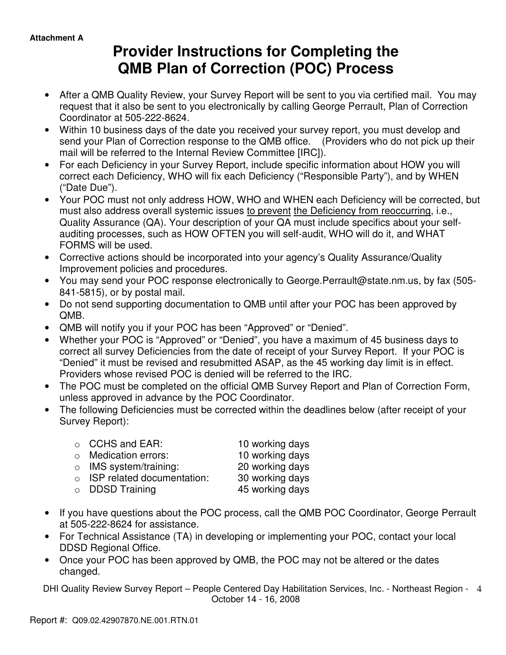# **Provider Instructions for Completing the QMB Plan of Correction (POC) Process**

- After a QMB Quality Review, your Survey Report will be sent to you via certified mail. You may request that it also be sent to you electronically by calling George Perrault, Plan of Correction Coordinator at 505-222-8624.
- Within 10 business days of the date you received your survey report, you must develop and send your Plan of Correction response to the QMB office. (Providers who do not pick up their mail will be referred to the Internal Review Committee [IRC]).
- For each Deficiency in your Survey Report, include specific information about HOW you will correct each Deficiency, WHO will fix each Deficiency ("Responsible Party"), and by WHEN ("Date Due").
- Your POC must not only address HOW, WHO and WHEN each Deficiency will be corrected, but must also address overall systemic issues to prevent the Deficiency from reoccurring, i.e., Quality Assurance (QA). Your description of your QA must include specifics about your selfauditing processes, such as HOW OFTEN you will self-audit, WHO will do it, and WHAT FORMS will be used.
- Corrective actions should be incorporated into your agency's Quality Assurance/Quality Improvement policies and procedures.
- You may send your POC response electronically to George.Perrault@state.nm.us, by fax (505- 841-5815), or by postal mail.
- Do not send supporting documentation to QMB until after your POC has been approved by QMB.
- QMB will notify you if your POC has been "Approved" or "Denied".
- Whether your POC is "Approved" or "Denied", you have a maximum of 45 business days to correct all survey Deficiencies from the date of receipt of your Survey Report. If your POC is "Denied" it must be revised and resubmitted ASAP, as the 45 working day limit is in effect. Providers whose revised POC is denied will be referred to the IRC.
- The POC must be completed on the official QMB Survey Report and Plan of Correction Form, unless approved in advance by the POC Coordinator.
- The following Deficiencies must be corrected within the deadlines below (after receipt of your Survey Report):

| $\circ$ CCHS and EAR:              | 10 working days |
|------------------------------------|-----------------|
| $\circ$ Medication errors:         | 10 working days |
| $\circ$ IMS system/training:       | 20 working days |
| $\circ$ ISP related documentation: | 30 working days |
| $\circ$ DDSD Training              | 45 working days |

- If you have questions about the POC process, call the QMB POC Coordinator, George Perrault at 505-222-8624 for assistance.
- For Technical Assistance (TA) in developing or implementing your POC, contact your local DDSD Regional Office.
- Once your POC has been approved by QMB, the POC may not be altered or the dates changed.

DHI Quality Review Survey Report – People Centered Day Habilitation Services, Inc. - Northeast Region - 4 October 14 - 16, 2008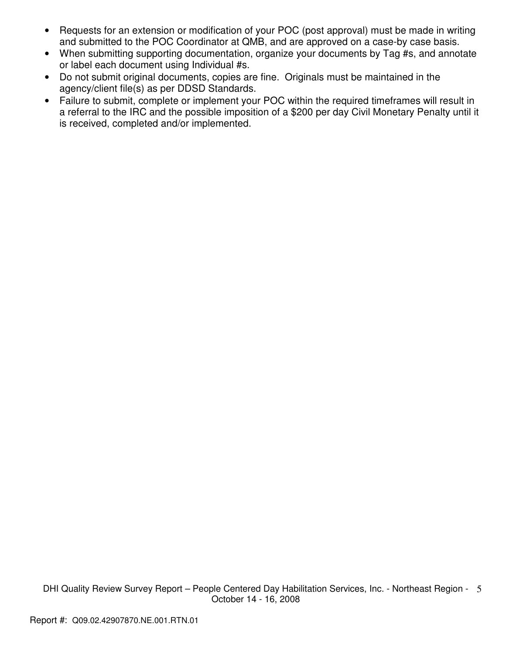- Requests for an extension or modification of your POC (post approval) must be made in writing and submitted to the POC Coordinator at QMB, and are approved on a case-by case basis.
- When submitting supporting documentation, organize your documents by Tag #s, and annotate or label each document using Individual #s.
- Do not submit original documents, copies are fine. Originals must be maintained in the agency/client file(s) as per DDSD Standards.
- Failure to submit, complete or implement your POC within the required timeframes will result in a referral to the IRC and the possible imposition of a \$200 per day Civil Monetary Penalty until it is received, completed and/or implemented.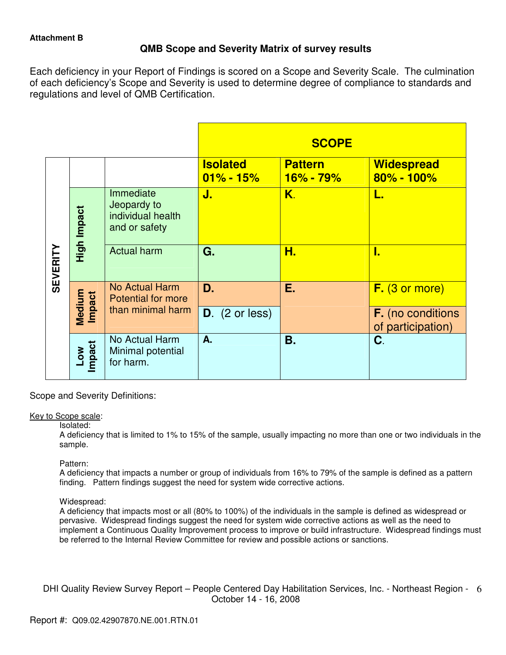# **QMB Scope and Severity Matrix of survey results**

Each deficiency in your Report of Findings is scored on a Scope and Severity Scale. The culmination of each deficiency's Scope and Severity is used to determine degree of compliance to standards and regulations and level of QMB Certification.

|                 |                         |                                                                | <b>SCOPE</b>                     |                                 |                                               |
|-----------------|-------------------------|----------------------------------------------------------------|----------------------------------|---------------------------------|-----------------------------------------------|
|                 |                         |                                                                | <b>Isolated</b><br>$01\% - 15\%$ | <b>Pattern</b><br>$16\% - 79\%$ | <b>Widespread</b><br>$80\% - 100\%$           |
| <b>SEVERITY</b> | High Impact             | Immediate<br>Jeopardy to<br>individual health<br>and or safety | J.                               | K.                              | L.                                            |
|                 |                         | <b>Actual harm</b>                                             | G.                               | Н.                              | I.                                            |
|                 |                         | <b>No Actual Harm</b><br><b>Potential for more</b>             | D.                               | Ε.                              | $F.$ (3 or more)                              |
|                 | Medium<br><b>Impact</b> | than minimal harm                                              | $D.$ (2 or less)                 |                                 | <b>F.</b> (no conditions<br>of participation) |
|                 | Impact<br>Low           | No Actual Harm<br>Minimal potential<br>for harm.               | A.                               | <b>B.</b>                       | C.                                            |

Scope and Severity Definitions:

## Key to Scope scale:

Isolated:

A deficiency that is limited to 1% to 15% of the sample, usually impacting no more than one or two individuals in the sample.

# Pattern:

A deficiency that impacts a number or group of individuals from 16% to 79% of the sample is defined as a pattern finding. Pattern findings suggest the need for system wide corrective actions.

## Widespread:

A deficiency that impacts most or all (80% to 100%) of the individuals in the sample is defined as widespread or pervasive. Widespread findings suggest the need for system wide corrective actions as well as the need to implement a Continuous Quality Improvement process to improve or build infrastructure. Widespread findings must be referred to the Internal Review Committee for review and possible actions or sanctions.

DHI Quality Review Survey Report - People Centered Day Habilitation Services, Inc. - Northeast Region - 6 October 14 - 16, 2008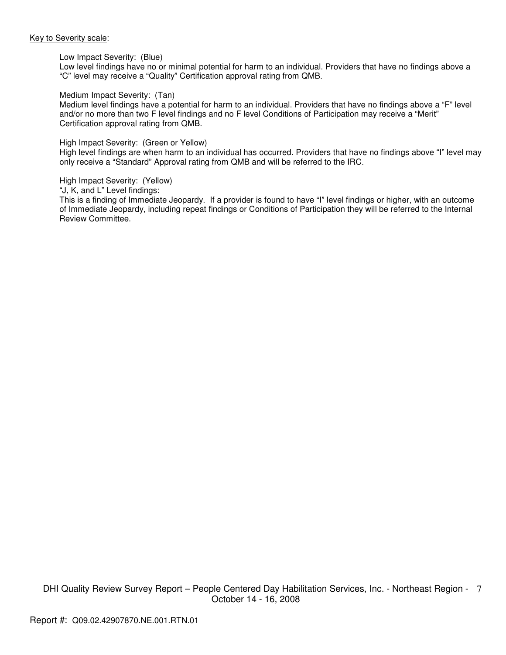#### Key to Severity scale:

#### Low Impact Severity: (Blue)

Low level findings have no or minimal potential for harm to an individual. Providers that have no findings above a "C" level may receive a "Quality" Certification approval rating from QMB.

#### Medium Impact Severity: (Tan)

Medium level findings have a potential for harm to an individual. Providers that have no findings above a "F" level and/or no more than two F level findings and no F level Conditions of Participation may receive a "Merit" Certification approval rating from QMB.

#### High Impact Severity: (Green or Yellow)

High level findings are when harm to an individual has occurred. Providers that have no findings above "I" level may only receive a "Standard" Approval rating from QMB and will be referred to the IRC.

High Impact Severity: (Yellow)

"J, K, and L" Level findings:

This is a finding of Immediate Jeopardy. If a provider is found to have "I" level findings or higher, with an outcome of Immediate Jeopardy, including repeat findings or Conditions of Participation they will be referred to the Internal Review Committee.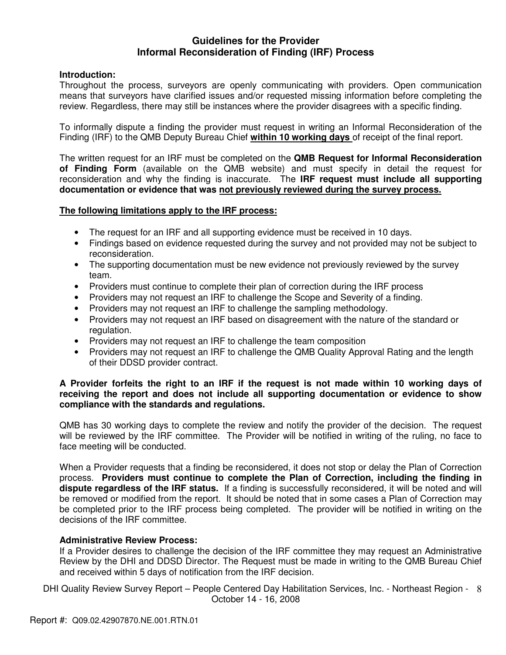# **Guidelines for the Provider Informal Reconsideration of Finding (IRF) Process**

# **Introduction:**

Throughout the process, surveyors are openly communicating with providers. Open communication means that surveyors have clarified issues and/or requested missing information before completing the review. Regardless, there may still be instances where the provider disagrees with a specific finding.

To informally dispute a finding the provider must request in writing an Informal Reconsideration of the Finding (IRF) to the QMB Deputy Bureau Chief **within 10 working days** of receipt of the final report.

The written request for an IRF must be completed on the **QMB Request for Informal Reconsideration of Finding Form** (available on the QMB website) and must specify in detail the request for reconsideration and why the finding is inaccurate. The **IRF request must include all supporting documentation or evidence that was not previously reviewed during the survey process.** 

# **The following limitations apply to the IRF process:**

- The request for an IRF and all supporting evidence must be received in 10 days.
- Findings based on evidence requested during the survey and not provided may not be subject to reconsideration.
- The supporting documentation must be new evidence not previously reviewed by the survey team.
- Providers must continue to complete their plan of correction during the IRF process
- Providers may not request an IRF to challenge the Scope and Severity of a finding.
- Providers may not request an IRF to challenge the sampling methodology.
- Providers may not request an IRF based on disagreement with the nature of the standard or regulation.
- Providers may not request an IRF to challenge the team composition
- Providers may not request an IRF to challenge the QMB Quality Approval Rating and the length of their DDSD provider contract.

# **A Provider forfeits the right to an IRF if the request is not made within 10 working days of receiving the report and does not include all supporting documentation or evidence to show compliance with the standards and regulations.**

QMB has 30 working days to complete the review and notify the provider of the decision. The request will be reviewed by the IRF committee. The Provider will be notified in writing of the ruling, no face to face meeting will be conducted.

When a Provider requests that a finding be reconsidered, it does not stop or delay the Plan of Correction process. **Providers must continue to complete the Plan of Correction, including the finding in dispute regardless of the IRF status.** If a finding is successfully reconsidered, it will be noted and will be removed or modified from the report. It should be noted that in some cases a Plan of Correction may be completed prior to the IRF process being completed. The provider will be notified in writing on the decisions of the IRF committee.

## **Administrative Review Process:**

If a Provider desires to challenge the decision of the IRF committee they may request an Administrative Review by the DHI and DDSD Director. The Request must be made in writing to the QMB Bureau Chief and received within 5 days of notification from the IRF decision.

DHI Quality Review Survey Report - People Centered Day Habilitation Services, Inc. - Northeast Region - 8 October 14 - 16, 2008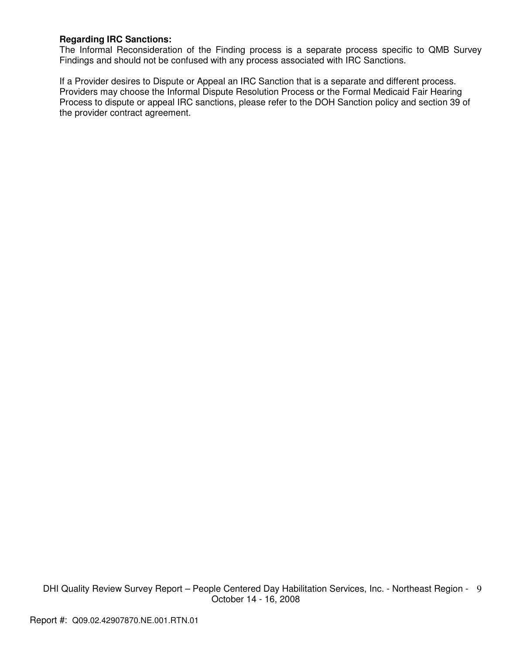# **Regarding IRC Sanctions:**

The Informal Reconsideration of the Finding process is a separate process specific to QMB Survey Findings and should not be confused with any process associated with IRC Sanctions.

If a Provider desires to Dispute or Appeal an IRC Sanction that is a separate and different process. Providers may choose the Informal Dispute Resolution Process or the Formal Medicaid Fair Hearing Process to dispute or appeal IRC sanctions, please refer to the DOH Sanction policy and section 39 of the provider contract agreement.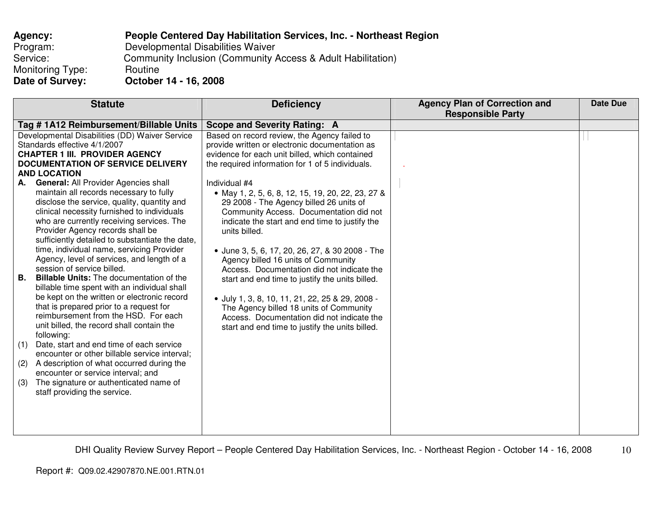| Agency:          | <b>People Centered Day Habilitation Services, Inc. - Northeast Region</b> |
|------------------|---------------------------------------------------------------------------|
| Program:         | Developmental Disabilities Waiver                                         |
| Service:         | Community Inclusion (Community Access & Adult Habilitation)               |
| Monitoring Type: | Routine                                                                   |
| Date of Survey:  | October 14 - 16, 2008                                                     |

| <b>Statute</b>                                        | <b>Deficiency</b>                                 | <b>Agency Plan of Correction and</b> | <b>Date Due</b> |
|-------------------------------------------------------|---------------------------------------------------|--------------------------------------|-----------------|
|                                                       |                                                   | <b>Responsible Party</b>             |                 |
| Tag #1A12 Reimbursement/Billable Units                | Scope and Severity Rating: A                      |                                      |                 |
| Developmental Disabilities (DD) Waiver Service        | Based on record review, the Agency failed to      |                                      |                 |
| Standards effective 4/1/2007                          | provide written or electronic documentation as    |                                      |                 |
| <b>CHAPTER 1 III. PROVIDER AGENCY</b>                 | evidence for each unit billed, which contained    |                                      |                 |
| <b>DOCUMENTATION OF SERVICE DELIVERY</b>              | the required information for 1 of 5 individuals.  |                                      |                 |
| <b>AND LOCATION</b>                                   |                                                   |                                      |                 |
| General: All Provider Agencies shall<br>А.            | Individual #4                                     |                                      |                 |
| maintain all records necessary to fully               | • May 1, 2, 5, 6, 8, 12, 15, 19, 20, 22, 23, 27 & |                                      |                 |
| disclose the service, quality, quantity and           | 29 2008 - The Agency billed 26 units of           |                                      |                 |
| clinical necessity furnished to individuals           | Community Access. Documentation did not           |                                      |                 |
| who are currently receiving services. The             | indicate the start and end time to justify the    |                                      |                 |
| Provider Agency records shall be                      | units billed.                                     |                                      |                 |
| sufficiently detailed to substantiate the date,       |                                                   |                                      |                 |
| time, individual name, servicing Provider             | • June 3, 5, 6, 17, 20, 26, 27, & 30 2008 - The   |                                      |                 |
| Agency, level of services, and length of a            | Agency billed 16 units of Community               |                                      |                 |
| session of service billed.                            | Access. Documentation did not indicate the        |                                      |                 |
| В.<br><b>Billable Units:</b> The documentation of the | start and end time to justify the units billed.   |                                      |                 |
| billable time spent with an individual shall          |                                                   |                                      |                 |
| be kept on the written or electronic record           | · July 1, 3, 8, 10, 11, 21, 22, 25 & 29, 2008 -   |                                      |                 |
| that is prepared prior to a request for               | The Agency billed 18 units of Community           |                                      |                 |
| reimbursement from the HSD. For each                  | Access. Documentation did not indicate the        |                                      |                 |
| unit billed, the record shall contain the             |                                                   |                                      |                 |
| following:                                            | start and end time to justify the units billed.   |                                      |                 |
| Date, start and end time of each service<br>(1)       |                                                   |                                      |                 |
| encounter or other billable service interval;         |                                                   |                                      |                 |
| A description of what occurred during the<br>(2)      |                                                   |                                      |                 |
| encounter or service interval; and                    |                                                   |                                      |                 |
| The signature or authenticated name of                |                                                   |                                      |                 |
| (3)                                                   |                                                   |                                      |                 |
| staff providing the service.                          |                                                   |                                      |                 |
|                                                       |                                                   |                                      |                 |
|                                                       |                                                   |                                      |                 |
|                                                       |                                                   |                                      |                 |
|                                                       |                                                   |                                      |                 |

DHI Quality Review Survey Report – People Centered Day Habilitation Services, Inc. - Northeast Region - October 14 - 16, 2008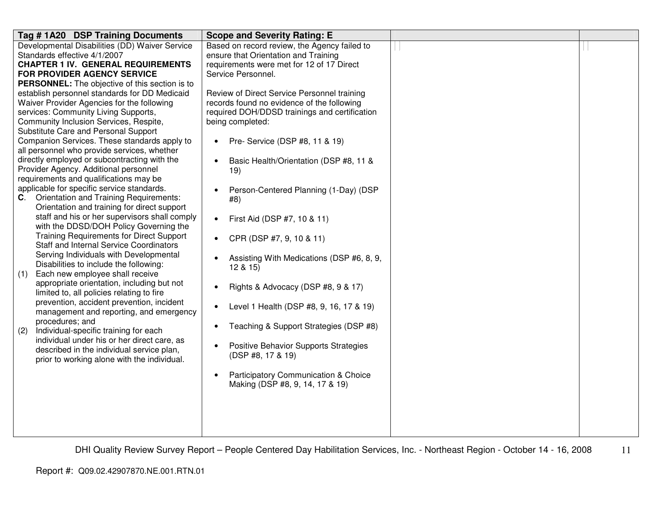| Tag #1A20 DSP Training Documents                                                            | <b>Scope and Severity Rating: E</b>                                                       |  |
|---------------------------------------------------------------------------------------------|-------------------------------------------------------------------------------------------|--|
| Developmental Disabilities (DD) Waiver Service                                              | Based on record review, the Agency failed to                                              |  |
| Standards effective 4/1/2007                                                                | ensure that Orientation and Training                                                      |  |
| <b>CHAPTER 1 IV. GENERAL REQUIREMENTS</b>                                                   | requirements were met for 12 of 17 Direct                                                 |  |
| FOR PROVIDER AGENCY SERVICE                                                                 | Service Personnel.                                                                        |  |
| <b>PERSONNEL:</b> The objective of this section is to                                       |                                                                                           |  |
| establish personnel standards for DD Medicaid<br>Waiver Provider Agencies for the following | Review of Direct Service Personnel training<br>records found no evidence of the following |  |
| services: Community Living Supports,                                                        | required DOH/DDSD trainings and certification                                             |  |
| Community Inclusion Services, Respite,                                                      | being completed:                                                                          |  |
| Substitute Care and Personal Support                                                        |                                                                                           |  |
| Companion Services. These standards apply to                                                | Pre- Service (DSP #8, 11 & 19)<br>$\bullet$                                               |  |
| all personnel who provide services, whether                                                 |                                                                                           |  |
| directly employed or subcontracting with the                                                | Basic Health/Orientation (DSP #8, 11 &<br>$\bullet$                                       |  |
| Provider Agency. Additional personnel                                                       | 19)                                                                                       |  |
| requirements and qualifications may be                                                      |                                                                                           |  |
| applicable for specific service standards.                                                  | Person-Centered Planning (1-Day) (DSP<br>$\bullet$                                        |  |
| <b>Orientation and Training Requirements:</b><br>C.                                         | #8)                                                                                       |  |
| Orientation and training for direct support                                                 |                                                                                           |  |
| staff and his or her supervisors shall comply                                               | First Aid (DSP #7, 10 & 11)<br>$\bullet$                                                  |  |
| with the DDSD/DOH Policy Governing the                                                      |                                                                                           |  |
| <b>Training Requirements for Direct Support</b>                                             | CPR (DSP #7, 9, 10 & 11)<br>$\bullet$                                                     |  |
| <b>Staff and Internal Service Coordinators</b>                                              |                                                                                           |  |
| Serving Individuals with Developmental<br>Disabilities to include the following:            | Assisting With Medications (DSP #6, 8, 9,<br>$\bullet$                                    |  |
| Each new employee shall receive<br>(1)                                                      | 12 & 15                                                                                   |  |
| appropriate orientation, including but not                                                  |                                                                                           |  |
| limited to, all policies relating to fire                                                   | Rights & Advocacy (DSP #8, 9 & 17)<br>$\bullet$                                           |  |
| prevention, accident prevention, incident                                                   |                                                                                           |  |
| management and reporting, and emergency                                                     | Level 1 Health (DSP #8, 9, 16, 17 & 19)<br>$\bullet$                                      |  |
| procedures; and                                                                             |                                                                                           |  |
| Individual-specific training for each<br>(2)                                                | Teaching & Support Strategies (DSP #8)<br>$\bullet$                                       |  |
| individual under his or her direct care, as                                                 |                                                                                           |  |
| described in the individual service plan,                                                   | Positive Behavior Supports Strategies<br>$\bullet$<br>(DSP #8, 17 & 19)                   |  |
| prior to working alone with the individual.                                                 |                                                                                           |  |
|                                                                                             | <b>Participatory Communication &amp; Choice</b><br>$\bullet$                              |  |
|                                                                                             | Making (DSP #8, 9, 14, 17 & 19)                                                           |  |
|                                                                                             |                                                                                           |  |
|                                                                                             |                                                                                           |  |
|                                                                                             |                                                                                           |  |
|                                                                                             |                                                                                           |  |
|                                                                                             |                                                                                           |  |

DHI Quality Review Survey Report – People Centered Day Habilitation Services, Inc. - Northeast Region - October 14 - 16, 2008 11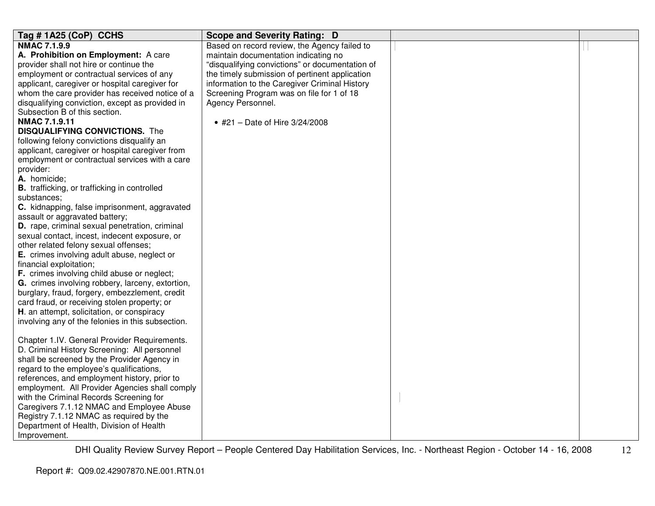| Tag #1A25 (CoP) CCHS                                | <b>Scope and Severity Rating: D</b>             |  |
|-----------------------------------------------------|-------------------------------------------------|--|
| <b>NMAC 7.1.9.9</b>                                 | Based on record review, the Agency failed to    |  |
| A. Prohibition on Employment: A care                | maintain documentation indicating no            |  |
| provider shall not hire or continue the             | "disqualifying convictions" or documentation of |  |
| employment or contractual services of any           | the timely submission of pertinent application  |  |
| applicant, caregiver or hospital caregiver for      | information to the Caregiver Criminal History   |  |
| whom the care provider has received notice of a     | Screening Program was on file for 1 of 18       |  |
| disqualifying conviction, except as provided in     | Agency Personnel.                               |  |
| Subsection B of this section.                       |                                                 |  |
| <b>NMAC 7.1.9.11</b>                                | • #21 - Date of Hire 3/24/2008                  |  |
| <b>DISQUALIFYING CONVICTIONS.</b> The               |                                                 |  |
| following felony convictions disqualify an          |                                                 |  |
| applicant, caregiver or hospital caregiver from     |                                                 |  |
| employment or contractual services with a care      |                                                 |  |
| provider:                                           |                                                 |  |
| A. homicide;                                        |                                                 |  |
| <b>B.</b> trafficking, or trafficking in controlled |                                                 |  |
| substances:                                         |                                                 |  |
| C. kidnapping, false imprisonment, aggravated       |                                                 |  |
| assault or aggravated battery;                      |                                                 |  |
| D. rape, criminal sexual penetration, criminal      |                                                 |  |
| sexual contact, incest, indecent exposure, or       |                                                 |  |
| other related felony sexual offenses;               |                                                 |  |
| E. crimes involving adult abuse, neglect or         |                                                 |  |
| financial exploitation;                             |                                                 |  |
| F. crimes involving child abuse or neglect;         |                                                 |  |
| G. crimes involving robbery, larceny, extortion,    |                                                 |  |
| burglary, fraud, forgery, embezzlement, credit      |                                                 |  |
| card fraud, or receiving stolen property; or        |                                                 |  |
| H. an attempt, solicitation, or conspiracy          |                                                 |  |
| involving any of the felonies in this subsection.   |                                                 |  |
|                                                     |                                                 |  |
| Chapter 1.IV. General Provider Requirements.        |                                                 |  |
| D. Criminal History Screening: All personnel        |                                                 |  |
| shall be screened by the Provider Agency in         |                                                 |  |
| regard to the employee's qualifications,            |                                                 |  |
| references, and employment history, prior to        |                                                 |  |
| employment. All Provider Agencies shall comply      |                                                 |  |
| with the Criminal Records Screening for             |                                                 |  |
| Caregivers 7.1.12 NMAC and Employee Abuse           |                                                 |  |
| Registry 7.1.12 NMAC as required by the             |                                                 |  |
| Department of Health, Division of Health            |                                                 |  |
| Improvement.                                        |                                                 |  |

DHI Quality Review Survey Report – People Centered Day Habilitation Services, Inc. - Northeast Region - October 14 - 16, 2008 12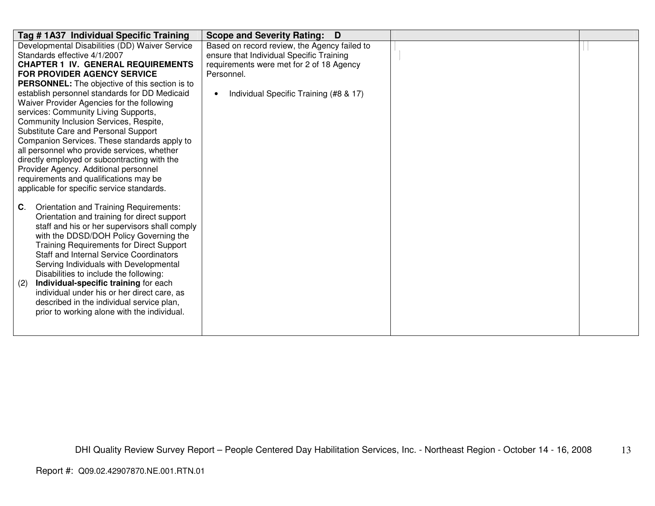| Tag #1A37 Individual Specific Training                | Scope and Severity Rating: D                        |  |
|-------------------------------------------------------|-----------------------------------------------------|--|
| Developmental Disabilities (DD) Waiver Service        | Based on record review, the Agency failed to        |  |
| Standards effective 4/1/2007                          | ensure that Individual Specific Training            |  |
| <b>CHAPTER 1 IV. GENERAL REQUIREMENTS</b>             | requirements were met for 2 of 18 Agency            |  |
| <b>FOR PROVIDER AGENCY SERVICE</b>                    | Personnel.                                          |  |
| <b>PERSONNEL:</b> The objective of this section is to |                                                     |  |
| establish personnel standards for DD Medicaid         | Individual Specific Training (#8 & 17)<br>$\bullet$ |  |
| Waiver Provider Agencies for the following            |                                                     |  |
| services: Community Living Supports,                  |                                                     |  |
| Community Inclusion Services, Respite,                |                                                     |  |
| Substitute Care and Personal Support                  |                                                     |  |
| Companion Services. These standards apply to          |                                                     |  |
| all personnel who provide services, whether           |                                                     |  |
| directly employed or subcontracting with the          |                                                     |  |
| Provider Agency. Additional personnel                 |                                                     |  |
| requirements and qualifications may be                |                                                     |  |
| applicable for specific service standards.            |                                                     |  |
| C.<br>Orientation and Training Requirements:          |                                                     |  |
| Orientation and training for direct support           |                                                     |  |
| staff and his or her supervisors shall comply         |                                                     |  |
| with the DDSD/DOH Policy Governing the                |                                                     |  |
| <b>Training Requirements for Direct Support</b>       |                                                     |  |
| <b>Staff and Internal Service Coordinators</b>        |                                                     |  |
| Serving Individuals with Developmental                |                                                     |  |
| Disabilities to include the following:                |                                                     |  |
| Individual-specific training for each<br>(2)          |                                                     |  |
| individual under his or her direct care, as           |                                                     |  |
| described in the individual service plan,             |                                                     |  |
| prior to working alone with the individual.           |                                                     |  |
|                                                       |                                                     |  |
|                                                       |                                                     |  |